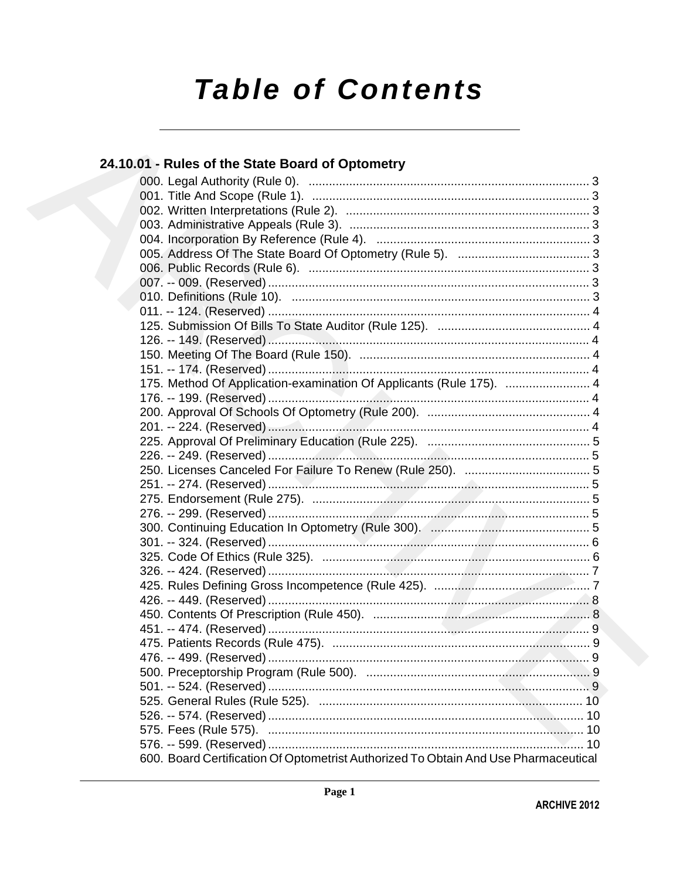# **Table of Contents**

# 24.10.01 - Rules of the State Board of Optometry 175. Method Of Application-examination Of Applicants (Rule 175). ................................ 4 600. Board Certification Of Optometrist Authorized To Obtain And Use Pharmaceutical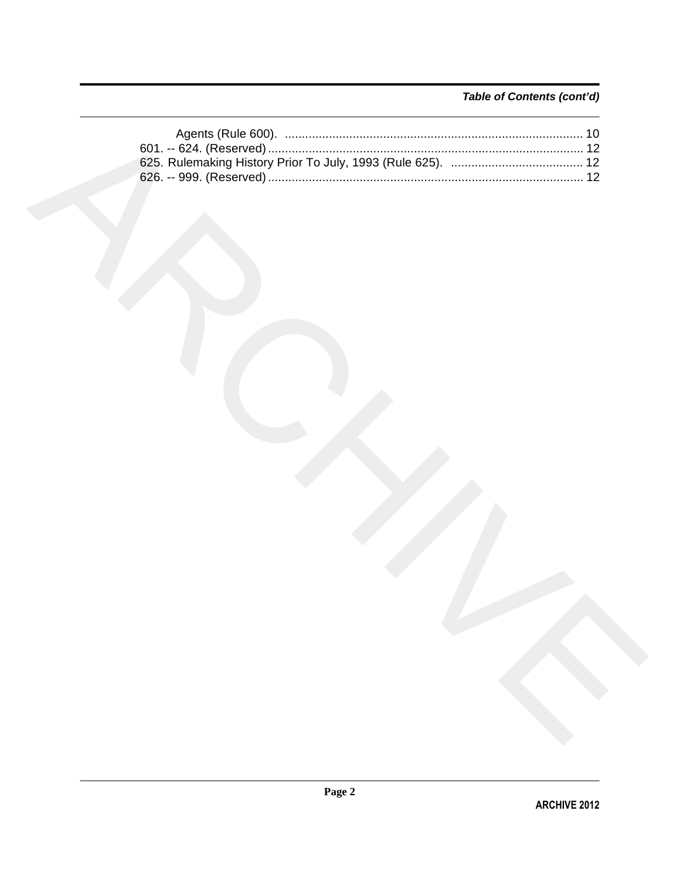# Table of Contents (cont'd)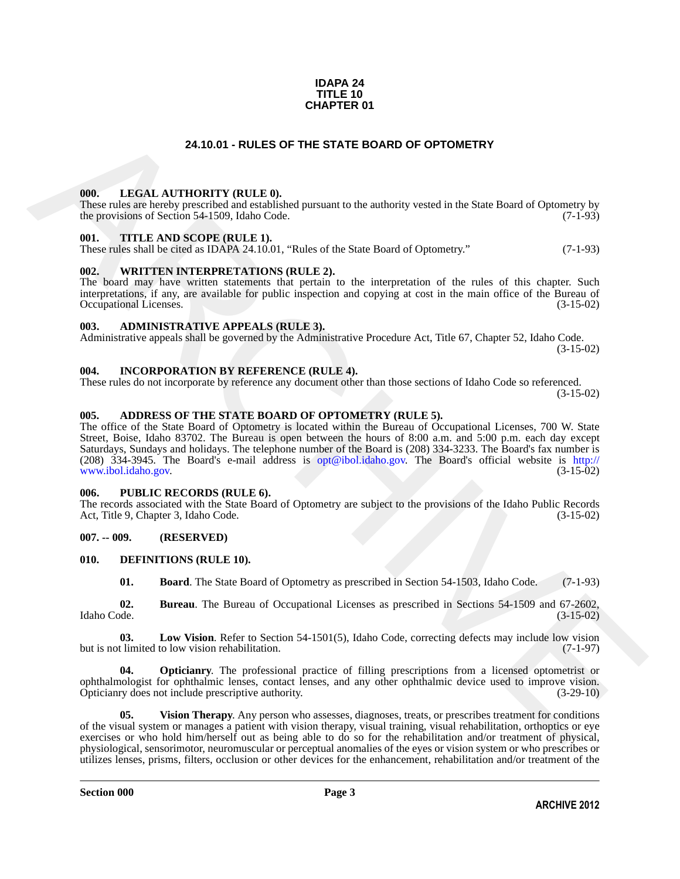### **IDAPA 24 TITLE 10 CHAPTER 01**

### **24.10.01 - RULES OF THE STATE BOARD OF OPTOMETRY**

### <span id="page-2-1"></span><span id="page-2-0"></span>**000. LEGAL AUTHORITY (RULE 0).**

These rules are hereby prescribed and established pursuant to the authority vested in the State Board of Optometry by the provisions of Section 54-1509, Idaho Code. (7-1-93)

### <span id="page-2-2"></span>**001. TITLE AND SCOPE (RULE 1).**

These rules shall be cited as IDAPA 24.10.01, "Rules of the State Board of Optometry." (7-1-93)

### <span id="page-2-3"></span>**002. WRITTEN INTERPRETATIONS (RULE 2).**

The board may have written statements that pertain to the interpretation of the rules of this chapter. Such interpretations, if any, are available for public inspection and copying at cost in the main office of the Bureau of Occupational Licenses. (3-15-02) Occupational Licenses.

### <span id="page-2-4"></span>**003. ADMINISTRATIVE APPEALS (RULE 3).**

Administrative appeals shall be governed by the Administrative Procedure Act, Title 67, Chapter 52, Idaho Code. (3-15-02)

<span id="page-2-5"></span>**004. INCORPORATION BY REFERENCE (RULE 4).**

These rules do not incorporate by reference any document other than those sections of Idaho Code so referenced. (3-15-02)

### <span id="page-2-6"></span>**005. ADDRESS OF THE STATE BOARD OF OPTOMETRY (RULE 5).**

**24.10.01 - BULES OF THE STATE BOARD OF OPTOMETRY**<br>
The results are the set of the state of the state of the state of the state final of the state of the state of the state of the state of the state of the state of the st The office of the State Board of Optometry is located within the Bureau of Occupational Licenses, 700 W. State Street, Boise, Idaho 83702. The Bureau is open between the hours of 8:00 a.m. and 5:00 p.m. each day except Saturdays, Sundays and holidays. The telephone number of the Board is (208) 334-3233. The Board's fax number is (208) 334-3945. The Board's e-mail address is opt@ibol.idaho.gov. The Board's official website is http:// www.ibol.idaho.gov.

### <span id="page-2-7"></span>**006. PUBLIC RECORDS (RULE 6).**

The records associated with the State Board of Optometry are subject to the provisions of the Idaho Public Records<br>Act, Title 9, Chapter 3, Idaho Code. (3-15-02) Act, Title 9, Chapter 3, Idaho Code.

### <span id="page-2-8"></span>**007. -- 009. (RESERVED)**

### <span id="page-2-9"></span>**010. DEFINITIONS (RULE 10).**

<span id="page-2-13"></span><span id="page-2-12"></span><span id="page-2-11"></span><span id="page-2-10"></span>**01. Board**. The State Board of Optometry as prescribed in Section 54-1503, Idaho Code. (7-1-93)

**02.** Bureau. The Bureau of Occupational Licenses as prescribed in Sections 54-1509 and 67-2602, Idaho Code. (3-15-02) Idaho Code. (3-15-02)

**03.** Low Vision. Refer to Section 54-1501(5), Idaho Code, correcting defects may include low vision thinited to low vision rehabilitation. (7-1-97) but is not limited to low vision rehabilitation.

<span id="page-2-14"></span>**04. Opticianry**. The professional practice of filling prescriptions from a licensed optometrist or ophthalmologist for ophthalmic lenses, contact lenses, and any other ophthalmic device used to improve vision. Opticianry does not include prescriptive authority. (3-29-10)

<span id="page-2-15"></span>**05.** Vision Therapy. Any person who assesses, diagnoses, treats, or prescribes treatment for conditions of the visual system or manages a patient with vision therapy, visual training, visual rehabilitation, orthoptics or eye exercises or who hold him/herself out as being able to do so for the rehabilitation and/or treatment of physical, physiological, sensorimotor, neuromuscular or perceptual anomalies of the eyes or vision system or who prescribes or utilizes lenses, prisms, filters, occlusion or other devices for the enhancement, rehabilitation and/or treatment of the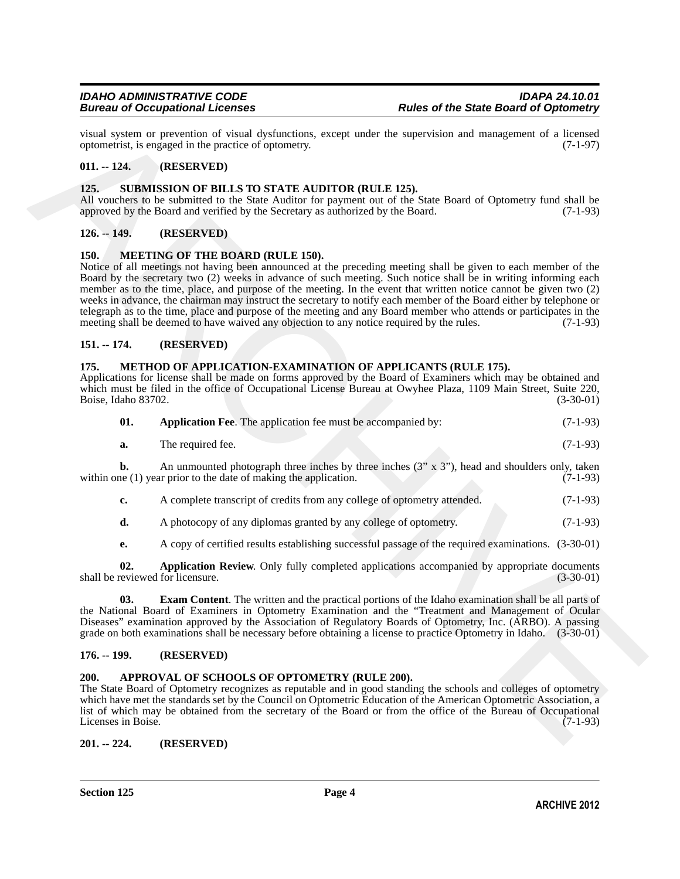visual system or prevention of visual dysfunctions, except under the supervision and management of a licensed optometrist, is engaged in the practice of optometry. (7-1-97) optometrist, is engaged in the practice of optometry.

### <span id="page-3-0"></span>**011. -- 124. (RESERVED)**

### <span id="page-3-15"></span><span id="page-3-1"></span>**125. SUBMISSION OF BILLS TO STATE AUDITOR (RULE 125).**

All vouchers to be submitted to the State Auditor for payment out of the State Board of Optometry fund shall be approved by the Board and verified by the Secretary as authorized by the Board. (7-1-93)

### <span id="page-3-2"></span>**126. -- 149. (RESERVED)**

### <span id="page-3-10"></span><span id="page-3-3"></span>**150. MEETING OF THE BOARD (RULE 150).**

via algorithm of processing of visual dydrinations, except under the supervision and management of a Learned 19<br>
19 of the 18 SENAVED (ELLE PR).<br>
19 Of the 18 SENAVED (ELLE PR),<br>
19 Of the 18 SENAVED (ELLE PR),<br>
19 Of the Notice of all meetings not having been announced at the preceding meeting shall be given to each member of the Board by the secretary two (2) weeks in advance of such meeting. Such notice shall be in writing informing each member as to the time, place, and purpose of the meeting. In the event that written notice cannot be given two (2) weeks in advance, the chairman may instruct the secretary to notify each member of the Board either by telephone or telegraph as to the time, place and purpose of the meeting and any Board member who attends or participates in the meeting shall be deemed to have waived any objection to any notice required by the rules. (7-1-93) meeting shall be deemed to have waived any objection to any notice required by the rules.

### <span id="page-3-4"></span>**151. -- 174. (RESERVED)**

### <span id="page-3-11"></span><span id="page-3-5"></span>**175. METHOD OF APPLICATION-EXAMINATION OF APPLICANTS (RULE 175).**

Applications for license shall be made on forms approved by the Board of Examiners which may be obtained and which must be filed in the office of Occupational License Bureau at Owyhee Plaza, 1109 Main Street, Suite 220, Boise, Idaho 83702. (3-30-01)

<span id="page-3-12"></span>

| 01. |  | <b>Application Fee.</b> The application fee must be accompanied by: |  | $(7-1-93)$ |
|-----|--|---------------------------------------------------------------------|--|------------|
|-----|--|---------------------------------------------------------------------|--|------------|

| а. | The required fee. |  |  | $(7-1-93)$ |
|----|-------------------|--|--|------------|
|    |                   |  |  |            |

**b.** An unmounted photograph three inches by three inches  $(3'' \times 3'')$ , head and shoulders only, taken ne  $(1)$  year prior to the date of making the application.  $(7-1-93)$ within one  $(1)$  year prior to the date of making the application.

- **c.** A complete transcript of credits from any college of optometry attended. (7-1-93)
- **d.** A photocopy of any diplomas granted by any college of optometry. (7-1-93)

<span id="page-3-14"></span><span id="page-3-13"></span>**e.** A copy of certified results establishing successful passage of the required examinations. (3-30-01)

**02. Application Review**. Only fully completed applications accompanied by appropriate documents eviewed for licensure. (3-30-01) shall be reviewed for licensure.

**03. Exam Content**. The written and the practical portions of the Idaho examination shall be all parts of the National Board of Examiners in Optometry Examination and the "Treatment and Management of Ocular Diseases" examination approved by the Association of Regulatory Boards of Optometry, Inc. (ARBO). A passing grade on both examinations shall be necessary before obtaining a license to practice Optometry in Idaho. (3-30-01)

### <span id="page-3-6"></span>**176. -- 199. (RESERVED)**

### <span id="page-3-9"></span><span id="page-3-7"></span>**200. APPROVAL OF SCHOOLS OF OPTOMETRY (RULE 200).**

The State Board of Optometry recognizes as reputable and in good standing the schools and colleges of optometry which have met the standards set by the Council on Optometric Education of the American Optometric Association, a list of which may be obtained from the secretary of the Board or from the office of the Bureau of Occupational Licenses in Boise.

<span id="page-3-8"></span>**201. -- 224. (RESERVED)**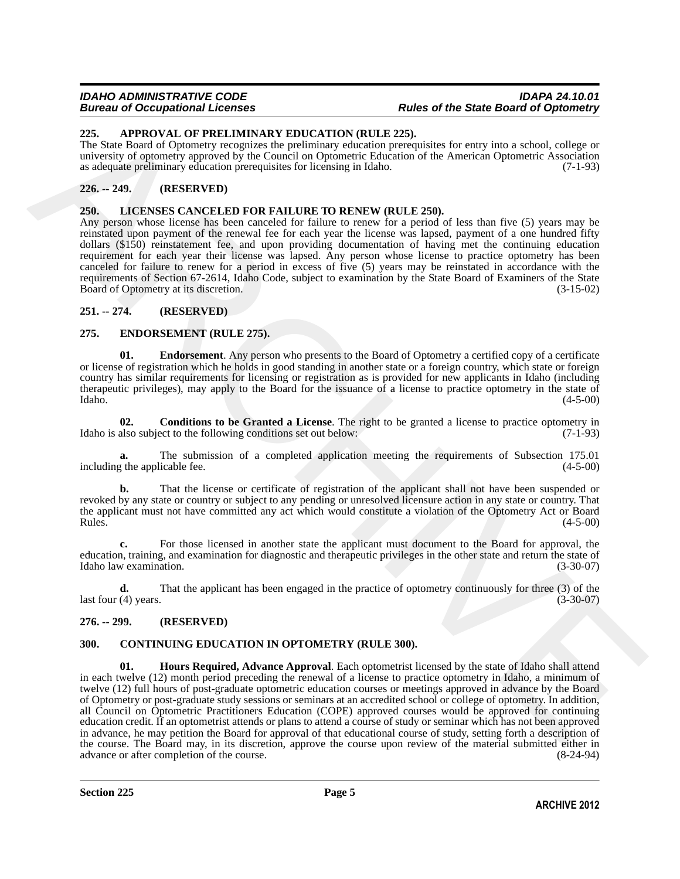### *IDAHO ADMINISTRATIVE CODE IDAPA 24.10.01 Bureau of Occupational Licenses Rules of the State Board of Optometry*

### <span id="page-4-7"></span><span id="page-4-0"></span>**225. APPROVAL OF PRELIMINARY EDUCATION (RULE 225).**

The State Board of Optometry recognizes the preliminary education prerequisites for entry into a school, college or university of optometry approved by the Council on Optometric Education of the American Optometric Association as adequate preliminary education prerequisites for licensing in Idaho. (7-1-93)

### <span id="page-4-1"></span>**226. -- 249. (RESERVED)**

### <span id="page-4-13"></span><span id="page-4-2"></span>**250. LICENSES CANCELED FOR FAILURE TO RENEW (RULE 250).**

Any person whose license has been canceled for failure to renew for a period of less than five (5) years may be reinstated upon payment of the renewal fee for each year the license was lapsed, payment of a one hundred fifty dollars (\$150) reinstatement fee, and upon providing documentation of having met the continuing education requirement for each year their license was lapsed. Any person whose license to practice optometry has been canceled for failure to renew for a period in excess of five (5) years may be reinstated in accordance with the requirements of Section 67-2614, Idaho Code, subject to examination by the State Board of Examiners of the State Board of Optometry at its discretion. (3-15-02)

### <span id="page-4-3"></span>**251. -- 274. (RESERVED)**

### <span id="page-4-10"></span><span id="page-4-4"></span>**275. ENDORSEMENT (RULE 275).**

<span id="page-4-12"></span>**01.** Endorsement. Any person who presents to the Board of Optometry a certified copy of a certificate or license of registration which he holds in good standing in another state or a foreign country, which state or foreign country has similar requirements for licensing or registration as is provided for new applicants in Idaho (including therapeutic privileges), may apply to the Board for the issuance of a license to practice optometry in the state of  $\lambda$ Idaho.  $(4-5-00)$ 

<span id="page-4-11"></span>**02. Conditions to be Granted a License**. The right to be granted a license to practice optometry in Idaho is also subject to the following conditions set out below: (7-1-93)

The submission of a completed application meeting the requirements of Subsection 175.01 icable fee. (4-5-00) including the applicable fee.

**b.** That the license or certificate of registration of the applicant shall not have been suspended or revoked by any state or country or subject to any pending or unresolved licensure action in any state or country. That the applicant must not have committed any act which would constitute a violation of the Optometry Act or Board<br>Rules. (4-5-00)  $\mu$  Rules.  $(4-5-00)$ 

**c.** For those licensed in another state the applicant must document to the Board for approval, the education, training, and examination for diagnostic and therapeutic privileges in the other state and return the state of Idaho law examination. (3-30-07) Idaho law examination.

**d.** That the applicant has been engaged in the practice of optometry continuously for three (3) of the  $\text{last four (4) years.}$  (3-30-07)

### <span id="page-4-5"></span>**276. -- 299. (RESERVED)**

### <span id="page-4-9"></span><span id="page-4-8"></span><span id="page-4-6"></span>**300. CONTINUING EDUCATION IN OPTOMETRY (RULE 300).**

235. APPROVAL OP PRETAINTVANCHIC POICATION (RITE 225).<br>
The Sale Board of Operatory monophisc the multivarually columnized presentation of the shares for energy is the absorption of  $\alpha$  (Single of the Control of the Cont **01. Hours Required, Advance Approval**. Each optometrist licensed by the state of Idaho shall attend in each twelve (12) month period preceding the renewal of a license to practice optometry in Idaho, a minimum of twelve (12) full hours of post-graduate optometric education courses or meetings approved in advance by the Board of Optometry or post-graduate study sessions or seminars at an accredited school or college of optometry. In addition, all Council on Optometric Practitioners Education (COPE) approved courses would be approved for continuing education credit. If an optometrist attends or plans to attend a course of study or seminar which has not been approved in advance, he may petition the Board for approval of that educational course of study, setting forth a description of the course. The Board may, in its discretion, approve the course upon review of the material submitted either in advance or after completion of the course. (8-24-94) advance or after completion of the course.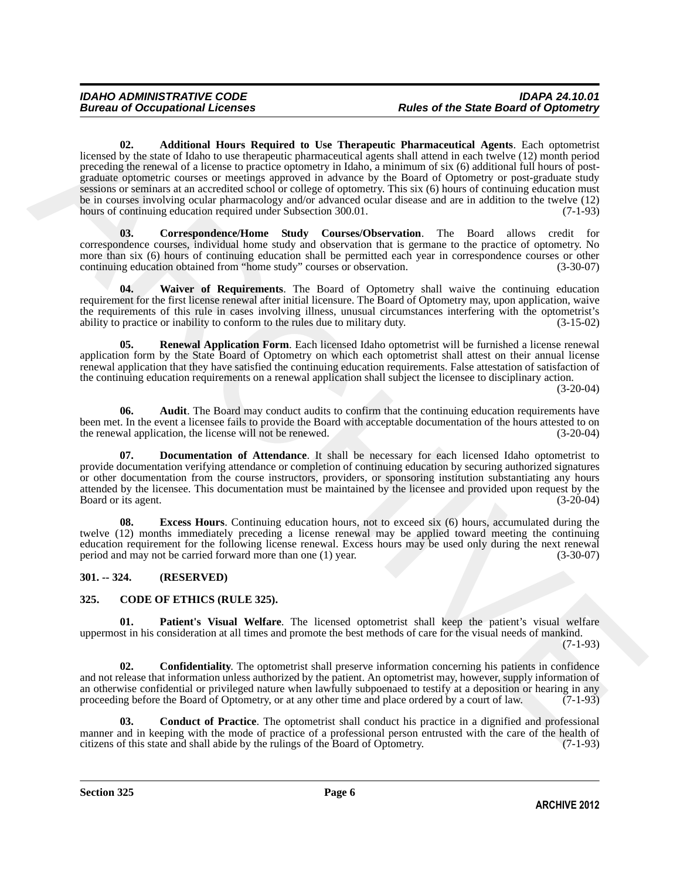Examele Co. And<br>theme is that the properties of the Thermonic Fluencenties of Agents, Tach represent<br>a procedure of the system contents of the system contents of the contents of the system of the system of the system of t **02. Additional Hours Required to Use Therapeutic Pharmaceutical Agents**. Each optometrist licensed by the state of Idaho to use therapeutic pharmaceutical agents shall attend in each twelve (12) month period preceding the renewal of a license to practice optometry in Idaho, a minimum of six (6) additional full hours of postgraduate optometric courses or meetings approved in advance by the Board of Optometry or post-graduate study sessions or seminars at an accredited school or college of optometry. This six (6) hours of continuing education must be in courses involving ocular pharmacology and/or advanced ocular disease and are in addition to the twelve (12) hours of continuing education required under Subsection 300.01. (7-1-93)

<span id="page-5-8"></span><span id="page-5-6"></span>**03. Correspondence/Home Study Courses/Observation**. The Board allows credit for correspondence courses, individual home study and observation that is germane to the practice of optometry. No more than six (6) hours of continuing education shall be permitted each year in correspondence courses or other<br>continuing education obtained from "home study" courses or observation. (3-30-07) continuing education obtained from "home study" courses or observation.

<span id="page-5-12"></span>**04. Waiver of Requirements**. The Board of Optometry shall waive the continuing education requirement for the first license renewal after initial licensure. The Board of Optometry may, upon application, waive the requirements of this rule in cases involving illness, unusual circumstances interfering with the optometrist's ability to practice or inability to conform to the rules due to military duty.  $(3-15-02)$ ability to practice or inability to conform to the rules due to military duty.

<span id="page-5-11"></span>**05. Renewal Application Form**. Each licensed Idaho optometrist will be furnished a license renewal application form by the State Board of Optometry on which each optometrist shall attest on their annual license renewal application that they have satisfied the continuing education requirements. False attestation of satisfaction of the continuing education requirements on a renewal application shall subject the licensee to disciplinary action.

(3-20-04)

<span id="page-5-7"></span>**06.** Audit. The Board may conduct audits to confirm that the continuing education requirements have been met. In the event a licensee fails to provide the Board with acceptable documentation of the hours attested to on the renewal application, the license will not be renewed. (3-20-04) the renewal application, the license will not be renewed.

<span id="page-5-9"></span>**07. Documentation of Attendance**. It shall be necessary for each licensed Idaho optometrist to provide documentation verifying attendance or completion of continuing education by securing authorized signatures or other documentation from the course instructors, providers, or sponsoring institution substantiating any hours attended by the licensee. This documentation must be maintained by the licensee and provided upon request by the Board or its agent. (3-20-04)

<span id="page-5-10"></span>**08. Excess Hours**. Continuing education hours, not to exceed six (6) hours, accumulated during the twelve (12) months immediately preceding a license renewal may be applied toward meeting the continuing education requirement for the following license renewal. Excess hours may be used only during the next renewal period and may not be carried forward more than one (1) year. (3-30-07)

# <span id="page-5-0"></span>**301. -- 324. (RESERVED)**

# <span id="page-5-2"></span><span id="page-5-1"></span>**325. CODE OF ETHICS (RULE 325).**

<span id="page-5-5"></span>**01. Patient's Visual Welfare**. The licensed optometrist shall keep the patient's visual welfare uppermost in his consideration at all times and promote the best methods of care for the visual needs of mankind.

(7-1-93)

<span id="page-5-4"></span>**02. Confidentiality**. The optometrist shall preserve information concerning his patients in confidence and not release that information unless authorized by the patient. An optometrist may, however, supply information of an otherwise confidential or privileged nature when lawfully subpoenaed to testify at a deposition or hearing in any proceeding before the Board of Optometry, or at any other time and place ordered by a court of law. (7-1-93)

<span id="page-5-3"></span>**03. Conduct of Practice**. The optometrist shall conduct his practice in a dignified and professional manner and in keeping with the mode of practice of a professional person entrusted with the care of the health of citizens of this state and shall abide by the rulings of the Board of Optometry. (7-1-93) citizens of this state and shall abide by the rulings of the Board of Optometry.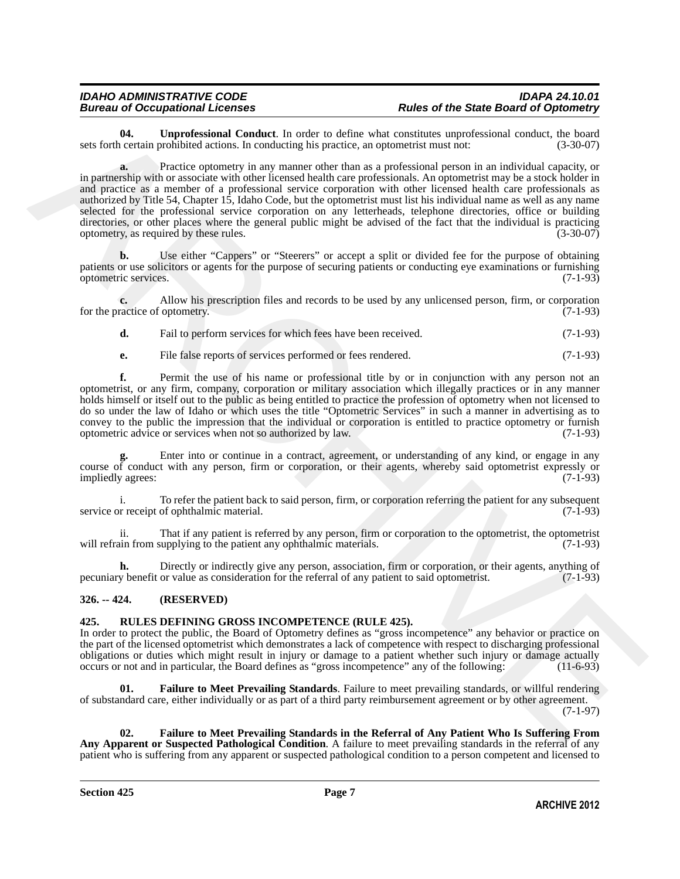<span id="page-6-2"></span>**04. Unprofessional Conduct**. In order to define what constitutes unprofessional conduct, the board certain prohibited actions. In conducting his practice, an optometrist must not:  $(3-30-07)$ sets forth certain prohibited actions. In conducting his practice, an optometrist must not:

6. Can be the continue of the matter in the case of notine when continue supercises of the solen of the solen of the solen of the solen of the solen of the solen of the solen of the solen of the solen of the solen of the **a.** Practice optometry in any manner other than as a professional person in an individual capacity, or in partnership with or associate with other licensed health care professionals. An optometrist may be a stock holder in and practice as a member of a professional service corporation with other licensed health care professionals as authorized by Title 54, Chapter 15, Idaho Code, but the optometrist must list his individual name as well as any name selected for the professional service corporation on any letterheads, telephone directories, office or building directories, or other places where the general public might be advised of the fact that the individual is practicing optometry, as required by these rules. (3-30-07)

**b.** Use either "Cappers" or "Steerers" or accept a split or divided fee for the purpose of obtaining patients or use solicitors or agents for the purpose of securing patients or conducting eye examinations or furnishing optometric services. (7-1-93) optometric services.

**c.** Allow his prescription files and records to be used by any unlicensed person, firm, or corporation ractice of optometry. (7-1-93) for the practice of optometry.

**d.** Fail to perform services for which fees have been received. (7-1-93)

**e.** File false reports of services performed or fees rendered. (7-1-93)

**f.** Permit the use of his name or professional title by or in conjunction with any person not an optometrist, or any firm, company, corporation or military association which illegally practices or in any manner holds himself or itself out to the public as being entitled to practice the profession of optometry when not licensed to do so under the law of Idaho or which uses the title "Optometric Services" in such a manner in advertising as to convey to the public the impression that the individual or corporation is entitled to practice optometry or furnish optometric advice or services when not so authorized by law. (7-1-93)

Enter into or continue in a contract, agreement, or understanding of any kind, or engage in any course of conduct with any person, firm or corporation, or their agents, whereby said optometrist expressly or impliedly agrees: (7-1-93) impliedly agrees:

i. To refer the patient back to said person, firm, or corporation referring the patient for any subsequent or receipt of ophthalmic material. (7-1-93) service or receipt of ophthalmic material.

ii. That if any patient is referred by any person, firm or corporation to the optometrist, the optometrist will refrain from supplying to the patient any ophthalmic materials.

**h.** Directly or indirectly give any person, association, firm or corporation, or their agents, anything of v benefit or value as consideration for the referral of any patient to said optometrist. (7-1-93) pecuniary benefit or value as consideration for the referral of any patient to said optometrist.

### <span id="page-6-0"></span>**326. -- 424. (RESERVED)**

### <span id="page-6-3"></span><span id="page-6-1"></span>**425. RULES DEFINING GROSS INCOMPETENCE (RULE 425).**

In order to protect the public, the Board of Optometry defines as "gross incompetence" any behavior or practice on the part of the licensed optometrist which demonstrates a lack of competence with respect to discharging professional obligations or duties which might result in injury or damage to a patient whether such injury or damage actually occurs or not and in particular, the Board defines as "gross incompetence" any of the following: (11-6-93)

<span id="page-6-4"></span>**01. Failure to Meet Prevailing Standards**. Failure to meet prevailing standards, or willful rendering of substandard care, either individually or as part of a third party reimbursement agreement or by other agreement. (7-1-97)

<span id="page-6-5"></span>**02. Failure to Meet Prevailing Standards in the Referral of Any Patient Who Is Suffering From Any Apparent or Suspected Pathological Condition**. A failure to meet prevailing standards in the referral of any patient who is suffering from any apparent or suspected pathological condition to a person competent and licensed to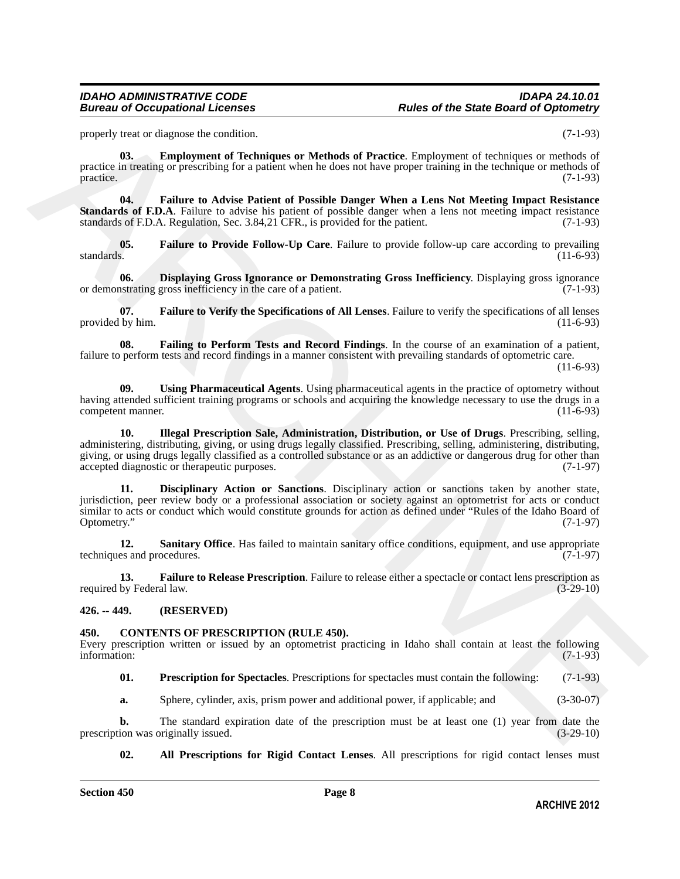properly treat or diagnose the condition. (7-1-93)

<span id="page-7-7"></span>**03. Employment of Techniques or Methods of Practice**. Employment of techniques or methods of practice in treating or prescribing for a patient when he does not have proper training in the technique or methods of  $practive.$  (7-1-93)

<span id="page-7-9"></span>**04. Failure to Advise Patient of Possible Danger When a Lens Not Meeting Impact Resistance Standards of F.D.A**. Failure to advise his patient of possible danger when a lens not meeting impact resistance standards of F.D.A. Regulation, Sec. 3.84,21 CFR., is provided for the patient. (7-1-93)

<span id="page-7-10"></span>**05.** Failure to Provide Follow-Up Care. Failure to provide follow-up care according to prevailing standards. (11-6-93) standards. (11-6-93)

<span id="page-7-6"></span>**06. Displaying Gross Ignorance or Demonstrating Gross Inefficiency**. Displaying gross ignorance or demonstrating gross inefficiency in the care of a patient. (7-1-93)

<span id="page-7-12"></span>**07. Failure to Verify the Specifications of All Lenses**. Failure to verify the specifications of all lenses provided by him.

<span id="page-7-8"></span>**08. Failing to Perform Tests and Record Findings**. In the course of an examination of a patient, failure to perform tests and record findings in a manner consistent with prevailing standards of optometric care.

(11-6-93)

<span id="page-7-15"></span><span id="page-7-13"></span>**09. Using Pharmaceutical Agents**. Using pharmaceutical agents in the practice of optometry without having attended sufficient training programs or schools and acquiring the knowledge necessary to use the drugs in a<br>(11-6-93) competent manner.

properly twen of diappose the condition.<br>
For the **Energy** twen of the product of Particle Experiment of the following procedure of the collapse of the collapse of the collapse of the collapse of the collapse of the colla **10. Illegal Prescription Sale, Administration, Distribution, or Use of Drugs**. Prescribing, selling, administering, distributing, giving, or using drugs legally classified. Prescribing, selling, administering, distributing, giving, or using drugs legally classified as a controlled substance or as an addictive or dangerous drug for other than accepted diagnostic or therapeutic purposes. (7-1-97) accepted diagnostic or therapeutic purposes.

<span id="page-7-5"></span>**11. Disciplinary Action or Sanctions**. Disciplinary action or sanctions taken by another state, jurisdiction, peer review body or a professional association or society against an optometrist for acts or conduct similar to acts or conduct which would constitute grounds for action as defined under "Rules of the Idaho Board of Optometry." (7-1-97) Optometry." (7-1-97)

<span id="page-7-14"></span>**12.** Sanitary Office. Has failed to maintain sanitary office conditions, equipment, and use appropriate techniques and procedures. (7-1-97)

<span id="page-7-11"></span>**13. Failure to Release Prescription**. Failure to release either a spectacle or contact lens prescription as by Federal law. (3-29-10) required by Federal law.

### <span id="page-7-0"></span>**426. -- 449. (RESERVED)**

### <span id="page-7-2"></span><span id="page-7-1"></span>**450. CONTENTS OF PRESCRIPTION (RULE 450).**

Every prescription written or issued by an optometrist practicing in Idaho shall contain at least the following information: (7-1-93)

<span id="page-7-4"></span>**01. Prescription for Spectacles**. Prescriptions for spectacles must contain the following: (7-1-93)

**a.** Sphere, cylinder, axis, prism power and additional power, if applicable; and (3-30-07)

**b.** The standard expiration date of the prescription must be at least one (1) year from date the ion was originally issued.  $(3-29-10)$ prescription was originally issued.

<span id="page-7-3"></span>**02. All Prescriptions for Rigid Contact Lenses**. All prescriptions for rigid contact lenses must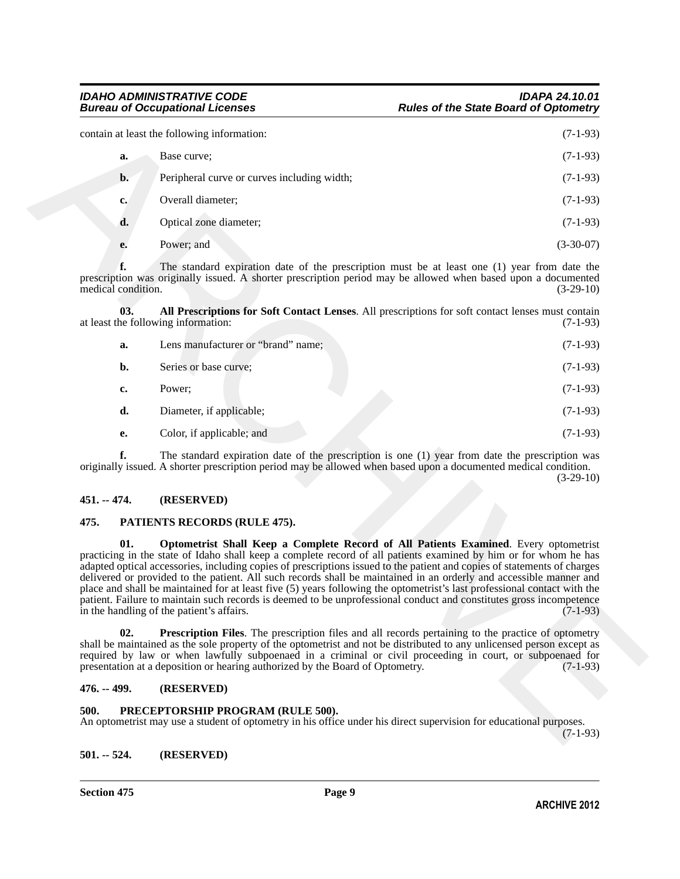|                          | contain at least the following information:                                                                                                                                                                                                                                                                                                                                                                                                                                                                                                                                                                                                                                                                                                                | $(7-1-93)$  |
|--------------------------|------------------------------------------------------------------------------------------------------------------------------------------------------------------------------------------------------------------------------------------------------------------------------------------------------------------------------------------------------------------------------------------------------------------------------------------------------------------------------------------------------------------------------------------------------------------------------------------------------------------------------------------------------------------------------------------------------------------------------------------------------------|-------------|
| a.                       | Base curve;                                                                                                                                                                                                                                                                                                                                                                                                                                                                                                                                                                                                                                                                                                                                                | $(7-1-93)$  |
| $b$ .                    | Peripheral curve or curves including width;                                                                                                                                                                                                                                                                                                                                                                                                                                                                                                                                                                                                                                                                                                                | $(7-1-93)$  |
| c.                       | Overall diameter;                                                                                                                                                                                                                                                                                                                                                                                                                                                                                                                                                                                                                                                                                                                                          | $(7-1-93)$  |
| d.                       | Optical zone diameter;                                                                                                                                                                                                                                                                                                                                                                                                                                                                                                                                                                                                                                                                                                                                     | $(7-1-93)$  |
| e.                       | Power; and                                                                                                                                                                                                                                                                                                                                                                                                                                                                                                                                                                                                                                                                                                                                                 | $(3-30-07)$ |
| f.<br>medical condition. | The standard expiration date of the prescription must be at least one (1) year from date the<br>prescription was originally issued. A shorter prescription period may be allowed when based upon a documented                                                                                                                                                                                                                                                                                                                                                                                                                                                                                                                                              | $(3-29-10)$ |
| 03.                      | All Prescriptions for Soft Contact Lenses. All prescriptions for soft contact lenses must contain<br>at least the following information:                                                                                                                                                                                                                                                                                                                                                                                                                                                                                                                                                                                                                   | $(7-1-93)$  |
| a.                       | Lens manufacturer or "brand" name;                                                                                                                                                                                                                                                                                                                                                                                                                                                                                                                                                                                                                                                                                                                         | $(7-1-93)$  |
| $b$ .                    | Series or base curve;                                                                                                                                                                                                                                                                                                                                                                                                                                                                                                                                                                                                                                                                                                                                      | $(7-1-93)$  |
| c.                       | Power;                                                                                                                                                                                                                                                                                                                                                                                                                                                                                                                                                                                                                                                                                                                                                     | $(7-1-93)$  |
| d.                       | Diameter, if applicable;                                                                                                                                                                                                                                                                                                                                                                                                                                                                                                                                                                                                                                                                                                                                   | $(7-1-93)$  |
| е.                       | Color, if applicable; and                                                                                                                                                                                                                                                                                                                                                                                                                                                                                                                                                                                                                                                                                                                                  | $(7-1-93)$  |
| f.                       | The standard expiration date of the prescription is one (1) year from date the prescription was<br>originally issued. A shorter prescription period may be allowed when based upon a documented medical condition.                                                                                                                                                                                                                                                                                                                                                                                                                                                                                                                                         | $(3-29-10)$ |
| 451. -- 474.             | (RESERVED)                                                                                                                                                                                                                                                                                                                                                                                                                                                                                                                                                                                                                                                                                                                                                 |             |
| 475.                     | PATIENTS RECORDS (RULE 475).                                                                                                                                                                                                                                                                                                                                                                                                                                                                                                                                                                                                                                                                                                                               |             |
| 01.                      | Optometrist Shall Keep a Complete Record of All Patients Examined. Every optometrist<br>practicing in the state of Idaho shall keep a complete record of all patients examined by him or for whom he has<br>adapted optical accessories, including copies of prescriptions issued to the patient and copies of statements of charges<br>delivered or provided to the patient. All such records shall be maintained in an orderly and accessible manner and<br>place and shall be maintained for at least five (5) years following the optometrist's last professional contact with the<br>patient. Failure to maintain such records is deemed to be unprofessional conduct and constitutes gross incompetence<br>in the handling of the patient's affairs. | $(7-1-93)$  |
| 02.                      | <b>Prescription Files.</b> The prescription files and all records pertaining to the practice of optometry<br>shall be maintained as the sole property of the optometrist and not be distributed to any unlicensed person except as<br>required by law or when lawfully subpoenaed in a criminal or civil proceeding in court, or subpoenaed for<br>presentation at a deposition or hearing authorized by the Board of Optometry.                                                                                                                                                                                                                                                                                                                           | $(7-1-93)$  |
| 476. -- 499.             | (RESERVED)                                                                                                                                                                                                                                                                                                                                                                                                                                                                                                                                                                                                                                                                                                                                                 |             |
| 500.                     | PRECEPTORSHIP PROGRAM (RULE 500).<br>An optometrist may use a student of optometry in his office under his direct supervision for educational purposes.                                                                                                                                                                                                                                                                                                                                                                                                                                                                                                                                                                                                    | $(7-1-93)$  |

<span id="page-8-5"></span>

| а. | Lens manufacturer or "brand" name; | $(7-1-93)$ |
|----|------------------------------------|------------|
| b. | Series or base curve;              | $(7-1-93)$ |
| c. | Power:                             | $(7-1-93)$ |
| d. | Diameter, if applicable;           | $(7-1-93)$ |
| e. | Color, if applicable; and          | $(7-1-93)$ |

### (3-29-10)

### <span id="page-8-0"></span>**451. -- 474. (RESERVED)**

### <span id="page-8-7"></span><span id="page-8-6"></span><span id="page-8-1"></span>**475. PATIENTS RECORDS (RULE 475).**

### <span id="page-8-8"></span><span id="page-8-2"></span>**476. -- 499. (RESERVED)**

### <span id="page-8-9"></span><span id="page-8-3"></span>**500. PRECEPTORSHIP PROGRAM (RULE 500).**

### <span id="page-8-4"></span>**501. -- 524. (RESERVED)**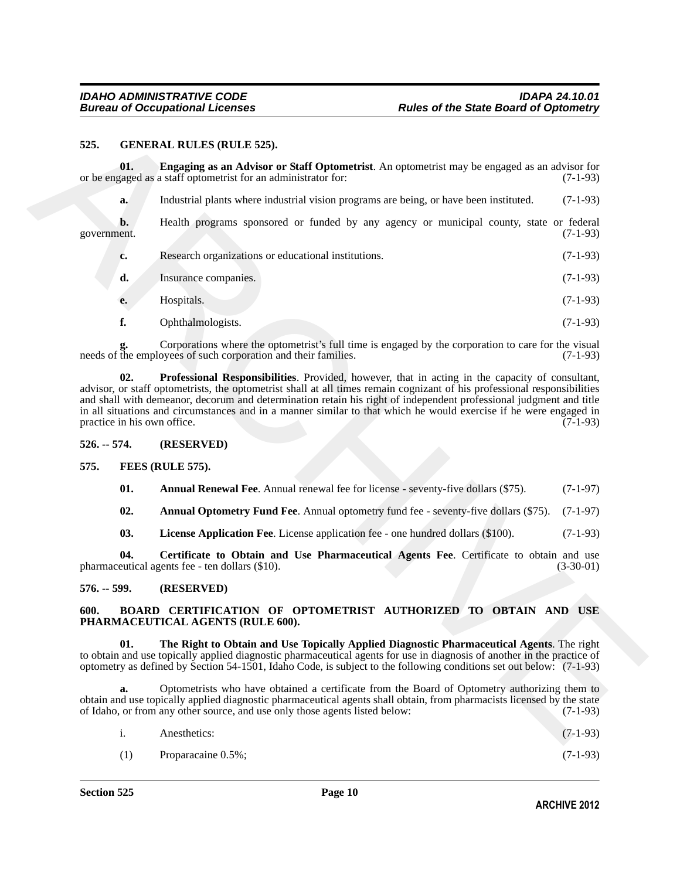### <span id="page-9-14"></span><span id="page-9-13"></span><span id="page-9-12"></span><span id="page-9-0"></span>**525. GENERAL RULES (RULE 525).**

|               |     | <b>GENERAL RULES (RULE 525).</b>                                                                                                                                                                                                                                                                                                                                                                                                                                                                      |             |
|---------------|-----|-------------------------------------------------------------------------------------------------------------------------------------------------------------------------------------------------------------------------------------------------------------------------------------------------------------------------------------------------------------------------------------------------------------------------------------------------------------------------------------------------------|-------------|
|               | 01. | Engaging as an Advisor or Staff Optometrist. An optometrist may be engaged as an advisor for<br>or be engaged as a staff optometrist for an administrator for:                                                                                                                                                                                                                                                                                                                                        | $(7-1-93)$  |
|               | a.  | Industrial plants where industrial vision programs are being, or have been instituted.                                                                                                                                                                                                                                                                                                                                                                                                                | $(7-1-93)$  |
| government.   | b.  | Health programs sponsored or funded by any agency or municipal county, state or federal                                                                                                                                                                                                                                                                                                                                                                                                               | $(7-1-93)$  |
|               | c.  | Research organizations or educational institutions.                                                                                                                                                                                                                                                                                                                                                                                                                                                   | $(7-1-93)$  |
|               | d.  | Insurance companies.                                                                                                                                                                                                                                                                                                                                                                                                                                                                                  | $(7-1-93)$  |
|               | е.  | Hospitals.                                                                                                                                                                                                                                                                                                                                                                                                                                                                                            | $(7-1-93)$  |
|               | f.  | Ophthalmologists.                                                                                                                                                                                                                                                                                                                                                                                                                                                                                     | $(7-1-93)$  |
|               | g.  | Corporations where the optometrist's full time is engaged by the corporation to care for the visual<br>needs of the employees of such corporation and their families.                                                                                                                                                                                                                                                                                                                                 | $(7-1-93)$  |
|               | 02. | Professional Responsibilities. Provided, however, that in acting in the capacity of consultant,<br>advisor, or staff optometrists, the optometrist shall at all times remain cognizant of his professional responsibilities<br>and shall with demeanor, decorum and determination retain his right of independent professional judgment and title<br>in all situations and circumstances and in a manner similar to that which he would exercise if he were engaged in<br>practice in his own office. | $(7-1-93)$  |
| $526. - 574.$ |     | (RESERVED)                                                                                                                                                                                                                                                                                                                                                                                                                                                                                            |             |
| 575.          |     | FEES (RULE 575).                                                                                                                                                                                                                                                                                                                                                                                                                                                                                      |             |
|               | 01. | Annual Renewal Fee. Annual renewal fee for license - seventy-five dollars (\$75).                                                                                                                                                                                                                                                                                                                                                                                                                     | $(7-1-97)$  |
|               | 02. | <b>Annual Optometry Fund Fee.</b> Annual optometry fund fee - seventy-five dollars (\$75).                                                                                                                                                                                                                                                                                                                                                                                                            | $(7-1-97)$  |
|               | 03. | License Application Fee. License application fee - one hundred dollars (\$100).                                                                                                                                                                                                                                                                                                                                                                                                                       | $(7-1-93)$  |
|               | 04. | Certificate to Obtain and Use Pharmaceutical Agents Fee. Certificate to obtain and use<br>pharmaceutical agents fee - ten dollars (\$10).                                                                                                                                                                                                                                                                                                                                                             | $(3-30-01)$ |
| $576. - 599.$ |     | (RESERVED)                                                                                                                                                                                                                                                                                                                                                                                                                                                                                            |             |
| 600.          |     | BOARD CERTIFICATION OF OPTOMETRIST AUTHORIZED TO OBTAIN AND USE<br>PHARMACEUTICAL AGENTS (RULE 600).                                                                                                                                                                                                                                                                                                                                                                                                  |             |
|               | 01. | The Right to Obtain and Use Topically Applied Diagnostic Pharmaceutical Agents. The right<br>to obtain and use topically applied diagnostic pharmaceutical agents for use in diagnosis of another in the practice of                                                                                                                                                                                                                                                                                  |             |
|               |     | optometry as defined by Section 54-1501, Idaho Code, is subject to the following conditions set out below: (7-1-93)                                                                                                                                                                                                                                                                                                                                                                                   |             |
|               | a.  | Optometrists who have obtained a certificate from the Board of Optometry authorizing them to<br>obtain and use topically applied diagnostic pharmaceutical agents shall obtain, from pharmacists licensed by the state<br>of Idaho, or from any other source, and use only those agents listed below:                                                                                                                                                                                                 | $(7-1-93)$  |

### <span id="page-9-11"></span><span id="page-9-10"></span><span id="page-9-9"></span><span id="page-9-8"></span><span id="page-9-7"></span><span id="page-9-6"></span><span id="page-9-5"></span><span id="page-9-4"></span><span id="page-9-3"></span><span id="page-9-2"></span><span id="page-9-1"></span>**600. BOARD CERTIFICATION OF OPTOMETRIST AUTHORIZED TO OBTAIN AND USE PHARMACEUTICAL AGENTS (RULE 600).**

| i. | Anesthetics: | $(7-1-93)$ |  |
|----|--------------|------------|--|
|    |              |            |  |

(1) Proparacaine 0.5%; (7-1-93)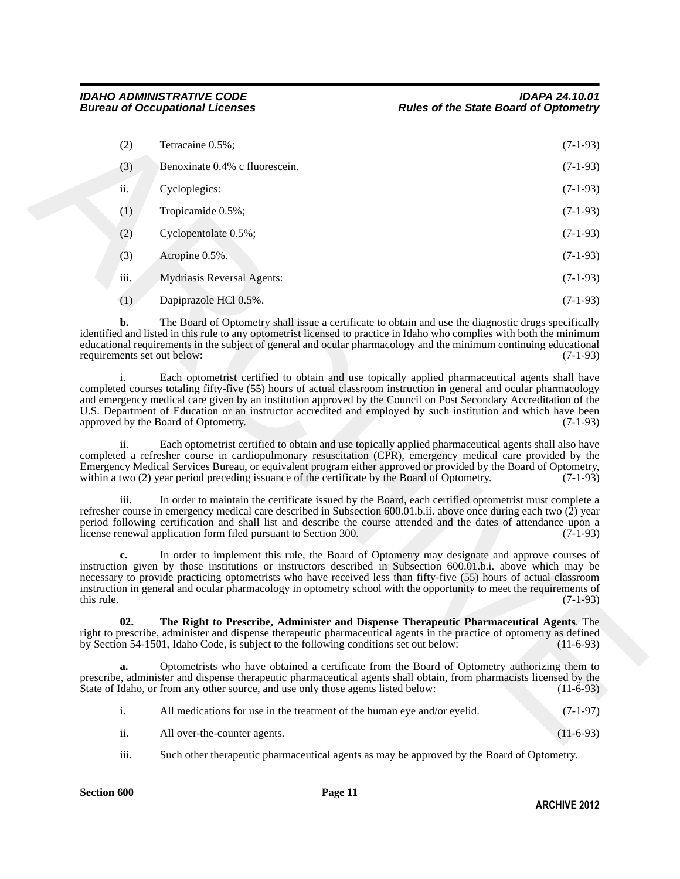|            | (2)  | Tetracaine 0.5%;                                                                                                                                                                                                                                                                                                                                                                                                                                                                                    | $(7-1-93)$  |
|------------|------|-----------------------------------------------------------------------------------------------------------------------------------------------------------------------------------------------------------------------------------------------------------------------------------------------------------------------------------------------------------------------------------------------------------------------------------------------------------------------------------------------------|-------------|
|            | (3)  | Benoxinate 0.4% c fluorescein.                                                                                                                                                                                                                                                                                                                                                                                                                                                                      | $(7-1-93)$  |
|            | ii.  | Cycloplegics:                                                                                                                                                                                                                                                                                                                                                                                                                                                                                       | $(7-1-93)$  |
|            | (1)  | Tropicamide 0.5%;                                                                                                                                                                                                                                                                                                                                                                                                                                                                                   | $(7-1-93)$  |
|            | (2)  | Cyclopentolate 0.5%;                                                                                                                                                                                                                                                                                                                                                                                                                                                                                | $(7-1-93)$  |
|            | (3)  | Atropine 0.5%.                                                                                                                                                                                                                                                                                                                                                                                                                                                                                      | $(7-1-93)$  |
|            | iii. | <b>Mydriasis Reversal Agents:</b>                                                                                                                                                                                                                                                                                                                                                                                                                                                                   | $(7-1-93)$  |
|            | (1)  | Dapiprazole HCl 0.5%.                                                                                                                                                                                                                                                                                                                                                                                                                                                                               | $(7-1-93)$  |
|            | b.   | The Board of Optometry shall issue a certificate to obtain and use the diagnostic drugs specifically<br>identified and listed in this rule to any optometrist licensed to practice in Idaho who complies with both the minimum<br>educational requirements in the subject of general and ocular pharmacology and the minimum continuing educational<br>requirements set out below:                                                                                                                  | $(7-1-93)$  |
|            | i.   | Each optometrist certified to obtain and use topically applied pharmaceutical agents shall have<br>completed courses totaling fifty-five (55) hours of actual classroom instruction in general and ocular pharmacology<br>and emergency medical care given by an institution approved by the Council on Post Secondary Accreditation of the<br>U.S. Department of Education or an instructor accredited and employed by such institution and which have been<br>approved by the Board of Optometry. | $(7-1-93)$  |
|            | ii.  | Each optometrist certified to obtain and use topically applied pharmaceutical agents shall also have<br>completed a refresher course in cardiopulmonary resuscitation (CPR), emergency medical care provided by the<br>Emergency Medical Services Bureau, or equivalent program either approved or provided by the Board of Optometry,<br>within a two (2) year period preceding issuance of the certificate by the Board of Optometry.                                                             | $(7-1-93)$  |
|            | iii. | In order to maintain the certificate issued by the Board, each certified optometrist must complete a<br>refresher course in emergency medical care described in Subsection $600.01$ .b.ii. above once during each two $(2)$ year<br>period following certification and shall list and describe the course attended and the dates of attendance upon a<br>license renewal application form filed pursuant to Section 300.                                                                            | $(7-1-93)$  |
| this rule. |      | In order to implement this rule, the Board of Optometry may designate and approve courses of<br>instruction given by those institutions or instructors described in Subsection 600.01.b.i. above which may be<br>necessary to provide practicing optometrists who have received less than fifty-five (55) hours of actual classroom<br>instruction in general and ocular pharmacology in optometry school with the opportunity to meet the requirements of                                          | $(7-1-93)$  |
|            | 02.  | The Right to Prescribe, Administer and Dispense Therapeutic Pharmaceutical Agents. The<br>right to prescribe, administer and dispense therapeutic pharmaceutical agents in the practice of optometry as defined<br>by Section 54-1501, Idaho Code, is subject to the following conditions set out below:                                                                                                                                                                                            | $(11-6-93)$ |
|            | a.   | Optometrists who have obtained a certificate from the Board of Optometry authorizing them to<br>prescribe, administer and dispense therapeutic pharmaceutical agents shall obtain, from pharmacists licensed by the<br>State of Idaho, or from any other source, and use only those agents listed below:                                                                                                                                                                                            | $(11-6-93)$ |
|            | i.   | All medications for use in the treatment of the human eye and/or eyelid.                                                                                                                                                                                                                                                                                                                                                                                                                            | $(7-1-97)$  |
|            | ii.  | All over-the-counter agents.                                                                                                                                                                                                                                                                                                                                                                                                                                                                        | $(11-6-93)$ |
|            |      |                                                                                                                                                                                                                                                                                                                                                                                                                                                                                                     |             |

<span id="page-10-0"></span>

|     | All medications for use in the treatment of the human eye and/or eyelid. | $(7-1-97)$  |
|-----|--------------------------------------------------------------------------|-------------|
| ii. | All over-the-counter agents.                                             | $(11-6-93)$ |

iii. Such other therapeutic pharmaceutical agents as may be approved by the Board of Optometry.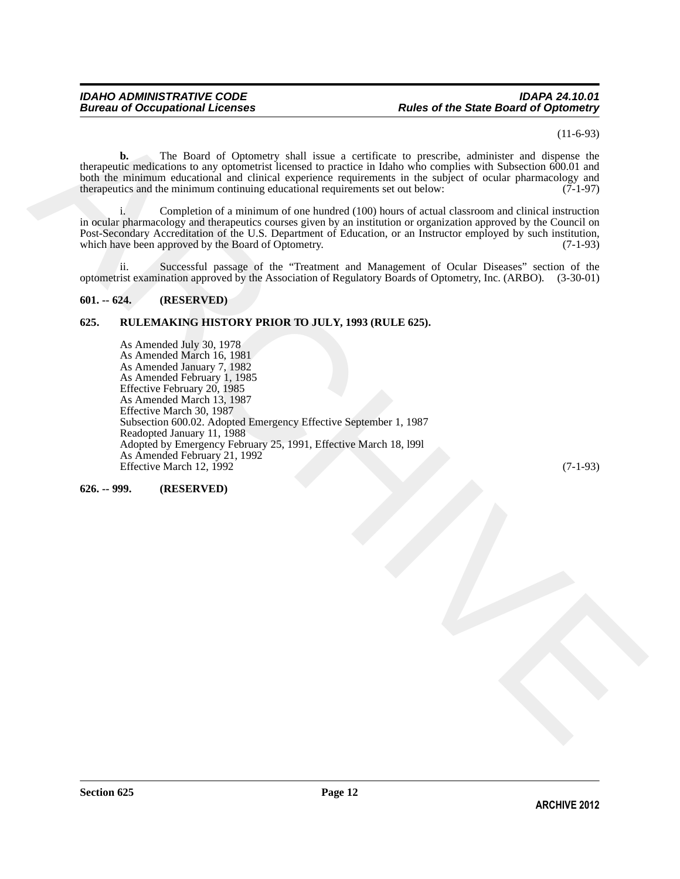### *IDAHO ADMINISTRATIVE CODE IDAPA 24.10.01 Bureau of Occupational Licenses Rules of the State Board of Optometry*

(11-6-93)

**b.** The Board of Optometry shall issue a certificate to prescribe, administer and dispense the therapeutic medications to any optometrist licensed to practice in Idaho who complies with Subsection 600.01 and both the minimum educational and clinical experience requirements in the subject of ocular pharmacology and therapeutics and the minimum continuing educational requirements set out below: (7-1-97)

i. Completion of a minimum of one hundred (100) hours of actual classroom and clinical instruction in ocular pharmacology and therapeutics courses given by an institution or organization approved by the Council on Post-Secondary Accreditation of the U.S. Department of Education, or an Instructor employed by such institution, which have been approved by the Board of Optometry. (7-1-93)

ii. Successful passage of the "Treatment and Management of Ocular Diseases" section of the optometrist examination approved by the Association of Regulatory Boards of Optometry, Inc. (ARBO). (3-30-01)

### <span id="page-11-0"></span>**601. -- 624. (RESERVED)**

### <span id="page-11-1"></span>**625. RULEMAKING HISTORY PRIOR TO JULY, 1993 (RULE 625).**

(1.460)<br>
The Rosel of Optomaty chall issue a service to specific statistic and distribute the properties of the properties of the properties of the properties of the statistic statistic and the base of the statistic stati As Amended July 30, 1978 As Amended March 16, 1981 As Amended January 7, 1982 As Amended February 1, 1985 Effective February 20, 1985 As Amended March 13, 1987 Effective March 30, 1987 Subsection 600.02. Adopted Emergency Effective September 1, 1987 Readopted January 11, 1988 Adopted by Emergency February 25, 1991, Effective March 18, l99l As Amended February 21, 1992 Effective March 12, 1992 (7-1-93)

<span id="page-11-2"></span>**626. -- 999. (RESERVED)**